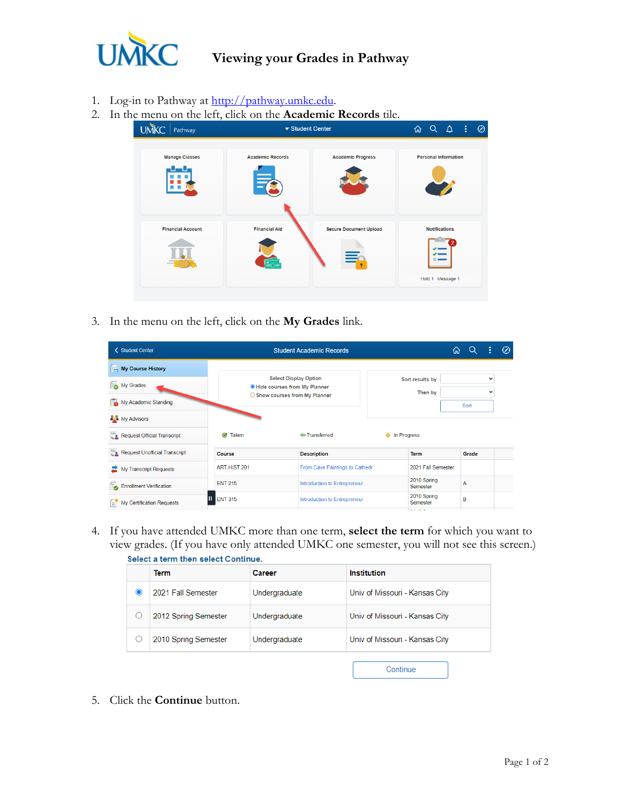

## **Viewing your Grades in Pathway**

- 1. Log-in to Pathway at [http://pathway.umkc.edu.](http://pathway.umkc.edu/)
- 2. In the menu on the left, click on the **Academic Records** tile.

| <b>UMKC</b><br>Pathway   | ▼ Student Center        | $\overline{\omega}$ $\alpha$ $\Delta$ |                      | ÷                           | $\oslash$ |  |
|--------------------------|-------------------------|---------------------------------------|----------------------|-----------------------------|-----------|--|
| Manage Classes           | <b>Academic Records</b> | <b>Academic Progress</b>              |                      | <b>Personal Information</b> |           |  |
| <b>Financial Account</b> | <b>Financial Aid</b>    | <b>Secure Document Upload</b>         | <b>Notifications</b> |                             |           |  |
|                          |                         | ≣∩                                    |                      | Hold 1 Message 1            |           |  |

3. In the menu on the left, click on the **My Grades** link.

| <b>く Student Center</b>           | <b>Student Academic Records</b> | 伔                                                                     | ŧ                          | Ø              |                             |  |
|-----------------------------------|---------------------------------|-----------------------------------------------------------------------|----------------------------|----------------|-----------------------------|--|
| My Course History                 |                                 |                                                                       |                            |                |                             |  |
| Í.<br>My Grades                   |                                 | <b>Select Display Option</b><br><b>O</b> Hide courses from My Planner | Sort results by<br>Then by |                | $\check{ }$<br>$\checkmark$ |  |
| My Academic Standing              |                                 | ○ Show courses from My Planner                                        |                            | Sort           |                             |  |
| <b>AN</b> My Advisors             |                                 |                                                                       |                            |                |                             |  |
| Request Official Transcript       | Ø<br><b>Taken</b>               | <b>← Transferred</b>                                                  | In Progress<br>◆           |                |                             |  |
| Request Unofficial Transcript     | Course                          | <b>Description</b>                                                    | <b>Term</b>                | Grade          |                             |  |
| My Transcript Requests            | ART-HIST 201                    | From Cave Paintings to Cathedr                                        | 2021 Fall Semester         |                |                             |  |
| <b>Ex</b> Enrollment Verification | <b>ENT 215</b>                  | Introduction to Entrepreneur                                          | 2010 Spring<br>Semester    | $\overline{A}$ |                             |  |
| f.<br>My Certification Requests   | <b>ENT 315</b>                  | Introduction to Entrepreneur                                          | 2010 Spring<br>Semester    | B              |                             |  |

4. If you have attended UMKC more than one term, **select the term** for which you want to view grades. (If you have only attended UMKC one semester, you will not see this screen.) Select a term then select Continue

| uciocl a lonni citoli aciocl conicinato. |                      |               |                                |  |  |  |  |  |
|------------------------------------------|----------------------|---------------|--------------------------------|--|--|--|--|--|
|                                          | <b>Term</b>          | Career        | Institution                    |  |  |  |  |  |
|                                          | 2021 Fall Semester   | Undergraduate | Univ of Missouri - Kansas City |  |  |  |  |  |
|                                          | 2012 Spring Semester | Undergraduate | Univ of Missouri - Kansas City |  |  |  |  |  |
|                                          | 2010 Spring Semester | Undergraduate | Univ of Missouri - Kansas City |  |  |  |  |  |
|                                          |                      |               | Continue                       |  |  |  |  |  |

5. Click the **Continue** button.